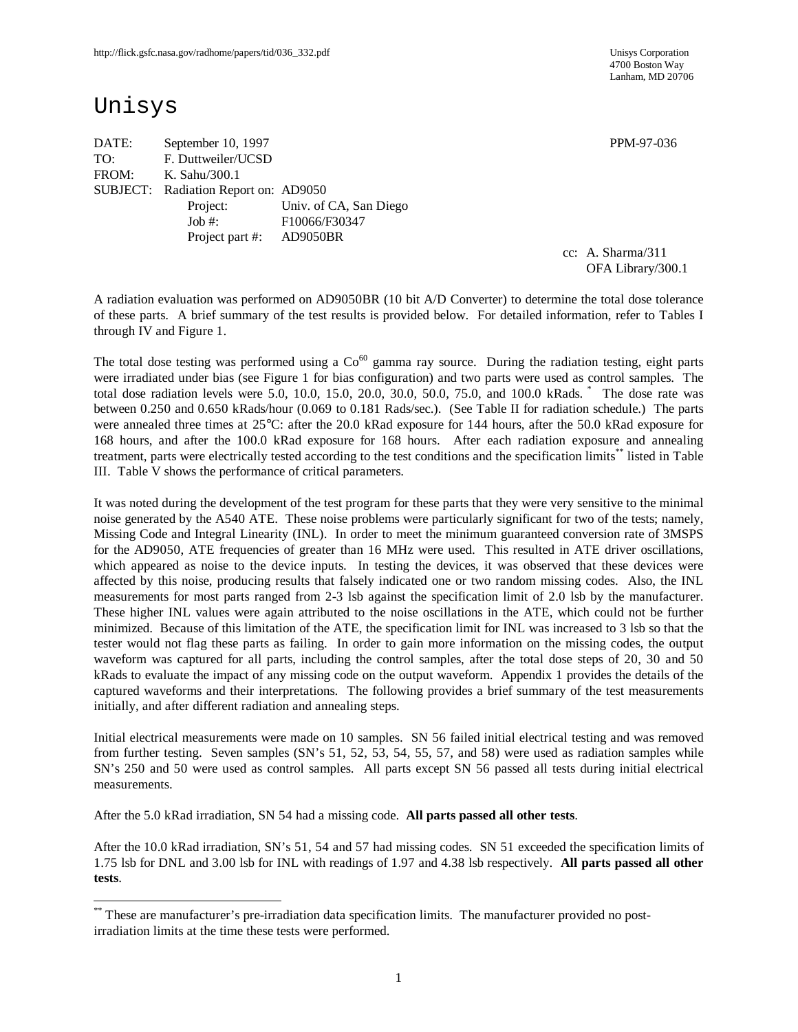4700 Boston Way Lanham, MD 20706

# Unisys

-

DATE: September 10, 1997 PPM-97-036 TO: F. Duttweiler/UCSD FROM: K. Sahu/300.1 SUBJECT: Radiation Report on: AD9050 Project: Univ. of CA, San Diego Job #: F10066/F30347 Project part #: AD9050BR

cc: A. Sharma/311 OFA Library/300.1

A radiation evaluation was performed on AD9050BR (10 bit A/D Converter) to determine the total dose tolerance of these parts. A brief summary of the test results is provided below. For detailed information, refer to Tables I through IV and Figure 1.

The total dose testing was performed using a  $Co<sup>60</sup>$  gamma ray source. During the radiation testing, eight parts were irradiated under bias (see Figure 1 for bias configuration) and two parts were used as control samples. The total dose radiation levels were 5.0, 10.0, 15.0, 20.0, 30.0, 50.0, 75.0, and 100.0 kRads. \* The dose rate was between 0.250 and 0.650 kRads/hour (0.069 to 0.181 Rads/sec.). (See Table II for radiation schedule.) The parts were annealed three times at 25°C: after the 20.0 kRad exposure for 144 hours, after the 50.0 kRad exposure for 168 hours, and after the 100.0 kRad exposure for 168 hours. After each radiation exposure and annealing treatment, parts were electrically tested according to the test conditions and the specification limits\*\* listed in Table III. Table V shows the performance of critical parameters.

It was noted during the development of the test program for these parts that they were very sensitive to the minimal noise generated by the A540 ATE. These noise problems were particularly significant for two of the tests; namely, Missing Code and Integral Linearity (INL). In order to meet the minimum guaranteed conversion rate of 3MSPS for the AD9050, ATE frequencies of greater than 16 MHz were used. This resulted in ATE driver oscillations, which appeared as noise to the device inputs. In testing the devices, it was observed that these devices were affected by this noise, producing results that falsely indicated one or two random missing codes. Also, the INL measurements for most parts ranged from 2-3 lsb against the specification limit of 2.0 lsb by the manufacturer. These higher INL values were again attributed to the noise oscillations in the ATE, which could not be further minimized. Because of this limitation of the ATE, the specification limit for INL was increased to 3 lsb so that the tester would not flag these parts as failing. In order to gain more information on the missing codes, the output waveform was captured for all parts, including the control samples, after the total dose steps of 20, 30 and 50 kRads to evaluate the impact of any missing code on the output waveform. Appendix 1 provides the details of the captured waveforms and their interpretations. The following provides a brief summary of the test measurements initially, and after different radiation and annealing steps.

Initial electrical measurements were made on 10 samples. SN 56 failed initial electrical testing and was removed from further testing. Seven samples (SN's 51, 52, 53, 54, 55, 57, and 58) were used as radiation samples while SN's 250 and 50 were used as control samples. All parts except SN 56 passed all tests during initial electrical measurements.

After the 5.0 kRad irradiation, SN 54 had a missing code. **All parts passed all other tests**.

After the 10.0 kRad irradiation, SN's 51, 54 and 57 had missing codes. SN 51 exceeded the specification limits of 1.75 lsb for DNL and 3.00 lsb for INL with readings of 1.97 and 4.38 lsb respectively. **All parts passed all other tests**.

<sup>\*\*</sup> These are manufacturer's pre-irradiation data specification limits. The manufacturer provided no postirradiation limits at the time these tests were performed.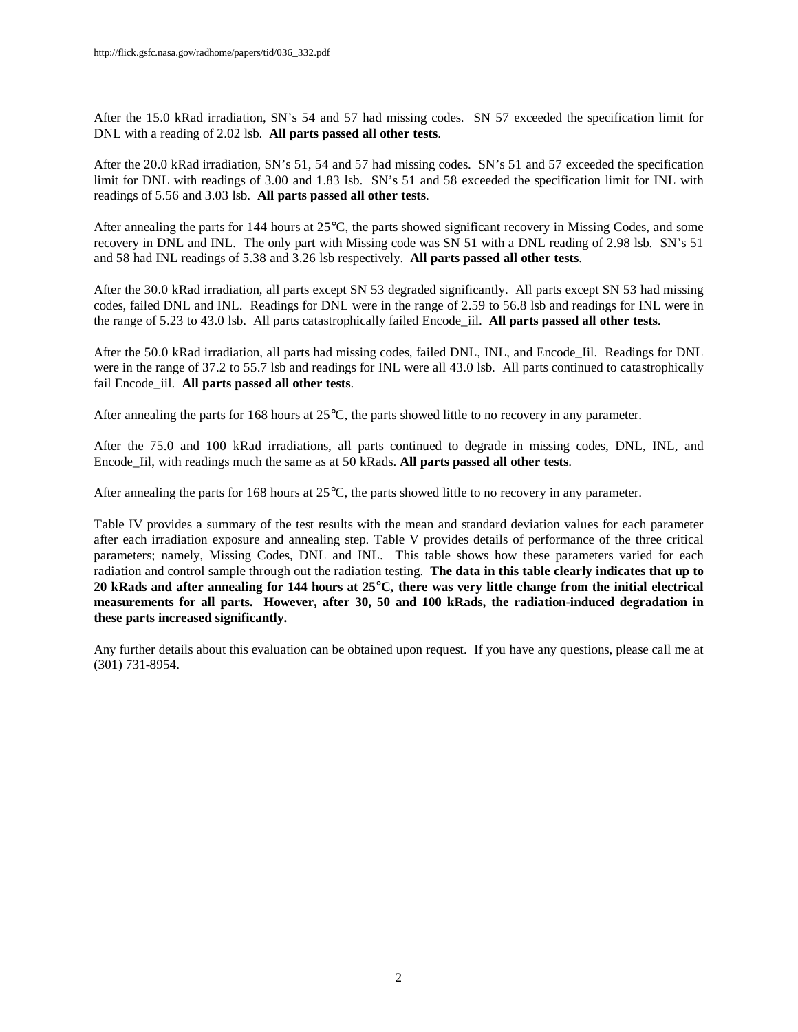After the 15.0 kRad irradiation, SN's 54 and 57 had missing codes. SN 57 exceeded the specification limit for DNL with a reading of 2.02 lsb. **All parts passed all other tests**.

After the 20.0 kRad irradiation, SN's 51, 54 and 57 had missing codes. SN's 51 and 57 exceeded the specification limit for DNL with readings of 3.00 and 1.83 lsb. SN's 51 and 58 exceeded the specification limit for INL with readings of 5.56 and 3.03 lsb. **All parts passed all other tests**.

After annealing the parts for 144 hours at 25°C, the parts showed significant recovery in Missing Codes, and some recovery in DNL and INL. The only part with Missing code was SN 51 with a DNL reading of 2.98 lsb. SN's 51 and 58 had INL readings of 5.38 and 3.26 lsb respectively. **All parts passed all other tests**.

After the 30.0 kRad irradiation, all parts except SN 53 degraded significantly. All parts except SN 53 had missing codes, failed DNL and INL. Readings for DNL were in the range of 2.59 to 56.8 lsb and readings for INL were in the range of 5.23 to 43.0 lsb. All parts catastrophically failed Encode\_iil. **All parts passed all other tests**.

After the 50.0 kRad irradiation, all parts had missing codes, failed DNL, INL, and Encode\_Iil. Readings for DNL were in the range of 37.2 to 55.7 lsb and readings for INL were all 43.0 lsb. All parts continued to catastrophically fail Encode\_iil. **All parts passed all other tests**.

After annealing the parts for 168 hours at 25°C, the parts showed little to no recovery in any parameter.

After the 75.0 and 100 kRad irradiations, all parts continued to degrade in missing codes, DNL, INL, and Encode\_Iil, with readings much the same as at 50 kRads. **All parts passed all other tests**.

After annealing the parts for 168 hours at 25°C, the parts showed little to no recovery in any parameter.

Table IV provides a summary of the test results with the mean and standard deviation values for each parameter after each irradiation exposure and annealing step. Table V provides details of performance of the three critical parameters; namely, Missing Codes, DNL and INL. This table shows how these parameters varied for each radiation and control sample through out the radiation testing. **The data in this table clearly indicates that up to 20 kRads and after annealing for 144 hours at 25°C, there was very little change from the initial electrical measurements for all parts. However, after 30, 50 and 100 kRads, the radiation-induced degradation in these parts increased significantly.**

Any further details about this evaluation can be obtained upon request. If you have any questions, please call me at (301) 731-8954.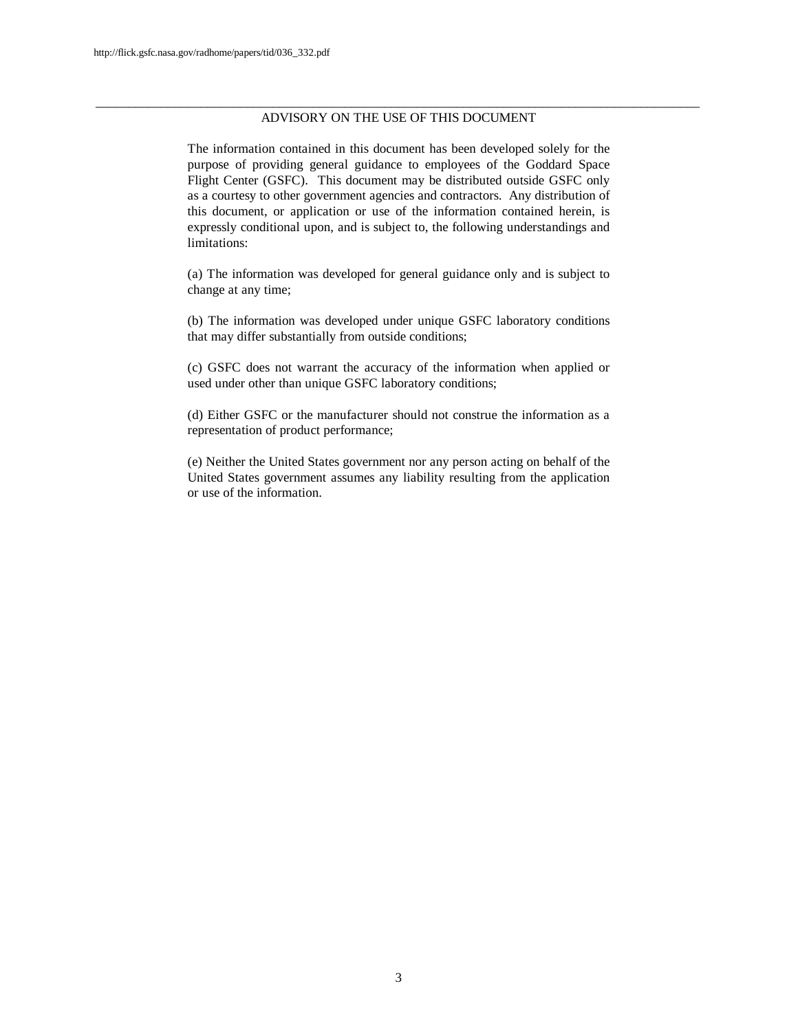#### \_\_\_\_\_\_\_\_\_\_\_\_\_\_\_\_\_\_\_\_\_\_\_\_\_\_\_\_\_\_\_\_\_\_\_\_\_\_\_\_\_\_\_\_\_\_\_\_\_\_\_\_\_\_\_\_\_\_\_\_\_\_\_\_\_\_\_\_\_\_\_\_\_\_\_\_\_\_\_\_\_\_\_\_\_\_\_\_\_\_\_\_ ADVISORY ON THE USE OF THIS DOCUMENT

The information contained in this document has been developed solely for the purpose of providing general guidance to employees of the Goddard Space Flight Center (GSFC). This document may be distributed outside GSFC only as a courtesy to other government agencies and contractors. Any distribution of this document, or application or use of the information contained herein, is expressly conditional upon, and is subject to, the following understandings and limitations:

(a) The information was developed for general guidance only and is subject to change at any time;

(b) The information was developed under unique GSFC laboratory conditions that may differ substantially from outside conditions;

(c) GSFC does not warrant the accuracy of the information when applied or used under other than unique GSFC laboratory conditions;

(d) Either GSFC or the manufacturer should not construe the information as a representation of product performance;

(e) Neither the United States government nor any person acting on behalf of the United States government assumes any liability resulting from the application or use of the information.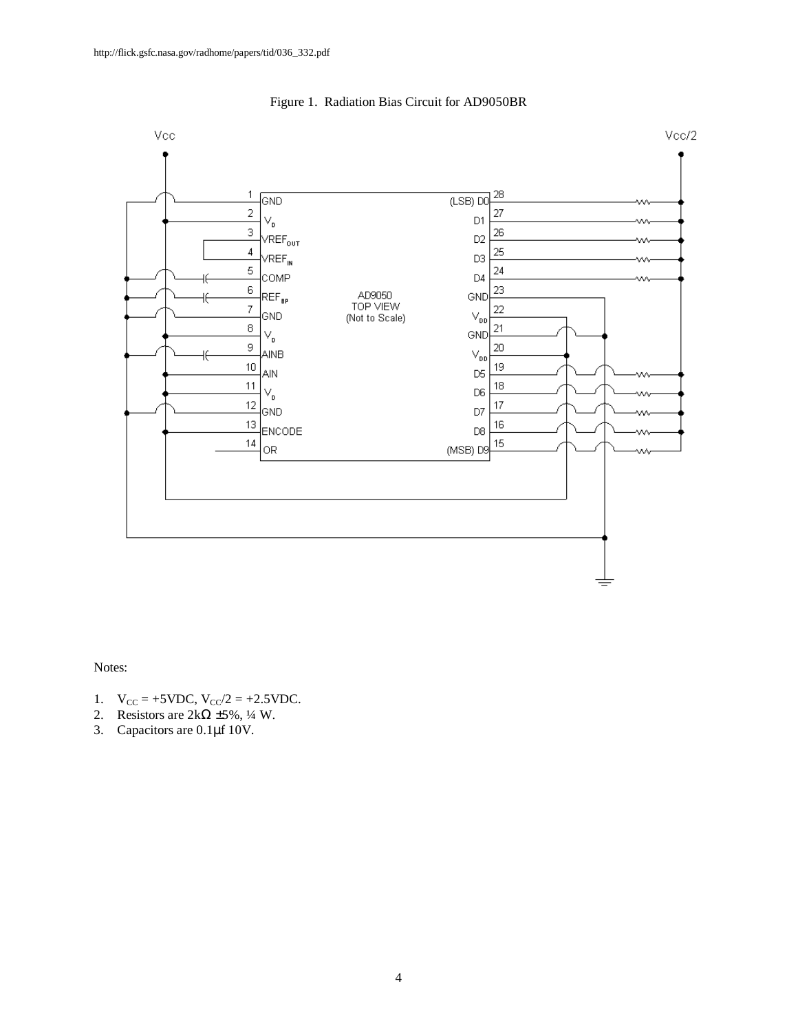

Figure 1. Radiation Bias Circuit for AD9050BR

Notes:

- 1.  $V_{CC} = +5 \text{VDC}, V_{CC}/2 = +2.5 \text{VDC}.$
- 2. Resistors are  $2k\Omega \pm 5\%, \frac{1}{4}$  W.
- 3. Capacitors are 0.1μf 10V.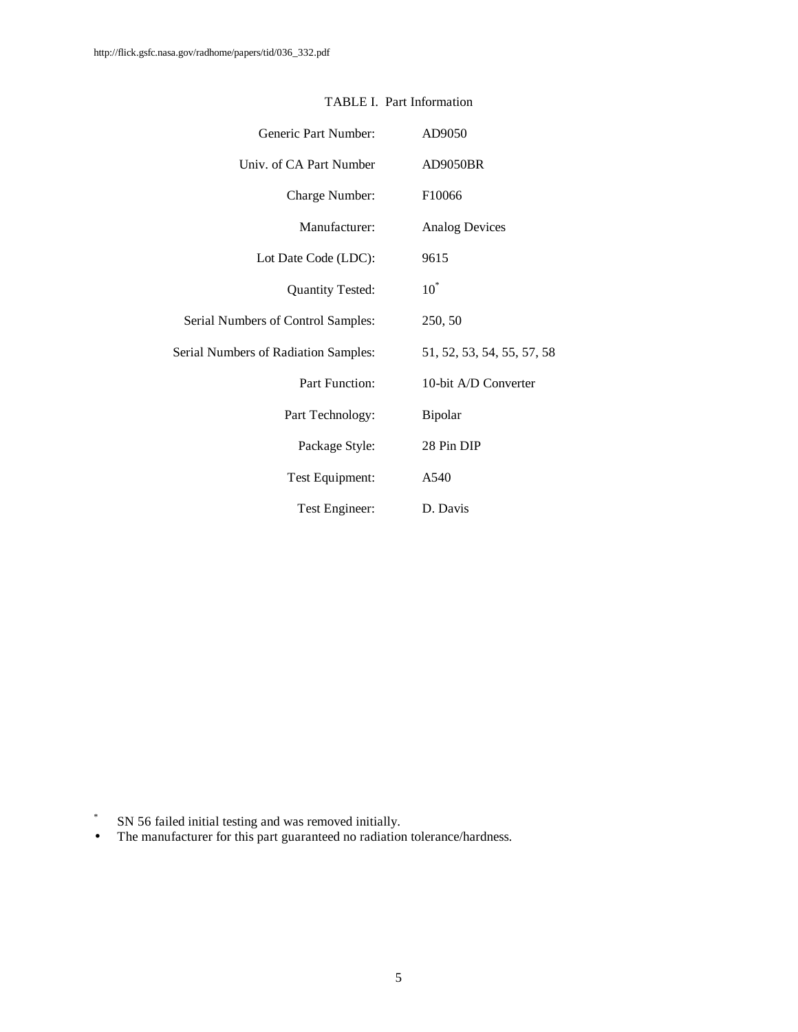| Generic Part Number:                        | AD9050                     |
|---------------------------------------------|----------------------------|
| Univ. of CA Part Number                     | AD9050BR                   |
| Charge Number:                              | F10066                     |
| Manufacturer:                               | <b>Analog Devices</b>      |
| Lot Date Code (LDC):                        | 9615                       |
| <b>Quantity Tested:</b>                     | $10^*$                     |
| Serial Numbers of Control Samples:          | 250, 50                    |
| <b>Serial Numbers of Radiation Samples:</b> | 51, 52, 53, 54, 55, 57, 58 |
| Part Function:                              | 10-bit A/D Converter       |
| Part Technology:                            | Bipolar                    |
| Package Style:                              | 28 Pin DIP                 |
| Test Equipment:                             | A540                       |
| Test Engineer:                              | D. Davis                   |

## TABLE I. Part Information

\* SN 56 failed initial testing and was removed initially.

• The manufacturer for this part guaranteed no radiation tolerance/hardness.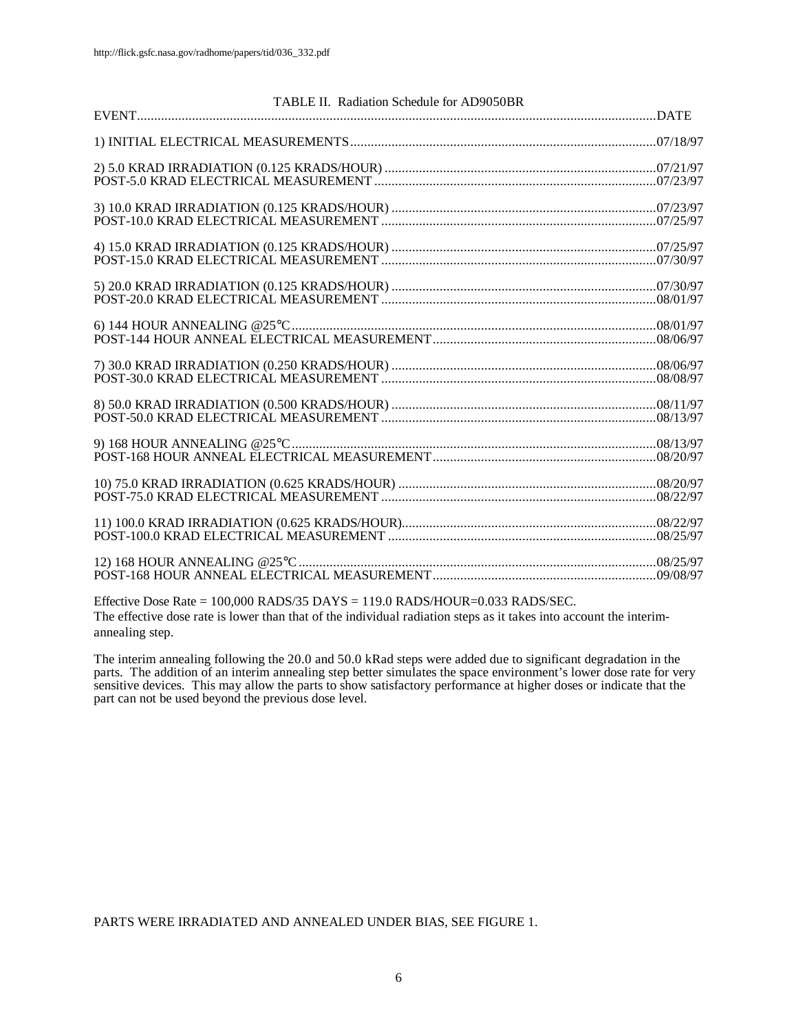| TABLE II. Radiation Schedule for AD9050BR |  |
|-------------------------------------------|--|
|                                           |  |
|                                           |  |
|                                           |  |
|                                           |  |
|                                           |  |
|                                           |  |
|                                           |  |
|                                           |  |
|                                           |  |
|                                           |  |
|                                           |  |
|                                           |  |
|                                           |  |
|                                           |  |
|                                           |  |
|                                           |  |
|                                           |  |
|                                           |  |
|                                           |  |
|                                           |  |
|                                           |  |
|                                           |  |
|                                           |  |
|                                           |  |

Effective Dose Rate = 100,000 RADS/35 DAYS = 119.0 RADS/HOUR=0.033 RADS/SEC. The effective dose rate is lower than that of the individual radiation steps as it takes into account the interimannealing step.

The interim annealing following the 20.0 and 50.0 kRad steps were added due to significant degradation in the parts. The addition of an interim annealing step better simulates the space environment's lower dose rate for very sensitive devices. This may allow the parts to show satisfactory performance at higher doses or indicate that the part can not be used beyond the previous dose level.

PARTS WERE IRRADIATED AND ANNEALED UNDER BIAS, SEE FIGURE 1.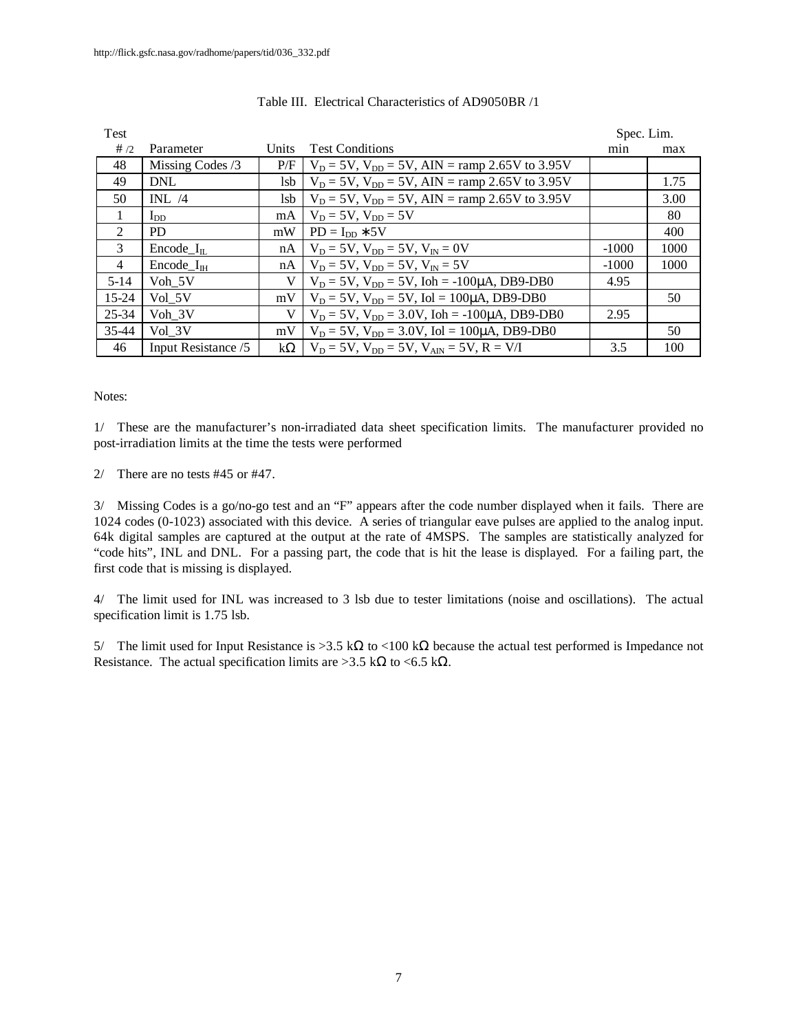| <b>Test</b>    |                        |              |                                                                   | Spec. Lim. |      |
|----------------|------------------------|--------------|-------------------------------------------------------------------|------------|------|
| #/2            | Parameter              | <b>Units</b> | <b>Test Conditions</b>                                            | min        | max  |
| 48             | Missing Codes /3       | P/F          | $V_D = 5V$ , $V_{DD} = 5V$ , AIN = ramp 2.65V to 3.95V            |            |      |
| 49             | <b>DNL</b>             | lsb          | $V_D = 5V$ , $V_{DD} = 5V$ , AIN = ramp 2.65V to 3.95V            |            | 1.75 |
| 50             | INL/4                  | lsb          | $V_D = 5V$ , $V_{DD} = 5V$ , AIN = ramp 2.65V to 3.95V            |            | 3.00 |
| 1              | $I_{DD}$               | mA           | $V_D = 5V$ , $V_{DD} = 5V$                                        |            | 80   |
| $\mathfrak{D}$ | PD.                    | mW           | $PD = I_{DD} * 5V$                                                |            | 400  |
| 3              | Encode $I_{\text{II}}$ | nA           | $V_D = 5V$ , $V_{DD} = 5V$ , $V_{IN} = 0V$                        | $-1000$    | 1000 |
| $\overline{4}$ | $Encode_{\text{IH}}$   | nA           | $V_D = 5V$ , $V_{DD} = 5V$ , $V_{IN} = 5V$                        | $-1000$    | 1000 |
| $5-14$         | Voh 5V                 | V            | $V_D = 5V$ , $V_{DD} = 5V$ , $I \circ h = -100 \mu A$ , DB9-DB0   | 4.95       |      |
| $15 - 24$      | Vol 5V                 | mV           | $V_D = 5V$ , $V_{DD} = 5V$ , $Iol = 100\mu A$ , DB9-DB0           |            | 50   |
| 25-34          | Voh 3V                 | V            | $V_D = 5V$ , $V_{DD} = 3.0V$ , $I \circ h = -100 \mu A$ , DB9-DB0 | 2.95       |      |
| 35-44          | Vol 3V                 | mV           | $V_D = 5V$ , $V_{DD} = 3.0V$ , Iol = 100µA, DB9-DB0               |            | 50   |
| 46             | Input Resistance /5    | $k\Omega$    | $V_D = 5V$ , $V_{DD} = 5V$ , $V_{AD} = 5V$ , $R = V/I$            | 3.5        | 100  |

#### Table III. Electrical Characteristics of AD9050BR /1

#### Notes:

1/ These are the manufacturer's non-irradiated data sheet specification limits. The manufacturer provided no post-irradiation limits at the time the tests were performed

2/ There are no tests #45 or #47.

3/ Missing Codes is a go/no-go test and an "F" appears after the code number displayed when it fails. There are 1024 codes (0-1023) associated with this device. A series of triangular eave pulses are applied to the analog input. 64k digital samples are captured at the output at the rate of 4MSPS. The samples are statistically analyzed for "code hits", INL and DNL. For a passing part, the code that is hit the lease is displayed. For a failing part, the first code that is missing is displayed.

4/ The limit used for INL was increased to 3 lsb due to tester limitations (noise and oscillations). The actual specification limit is 1.75 lsb.

5/ The limit used for Input Resistance is > 3.5 kΩ to <100 kΩ because the actual test performed is Impedance not Resistance. The actual specification limits are >3.5 k $\Omega$  to <6.5 k $\Omega$ .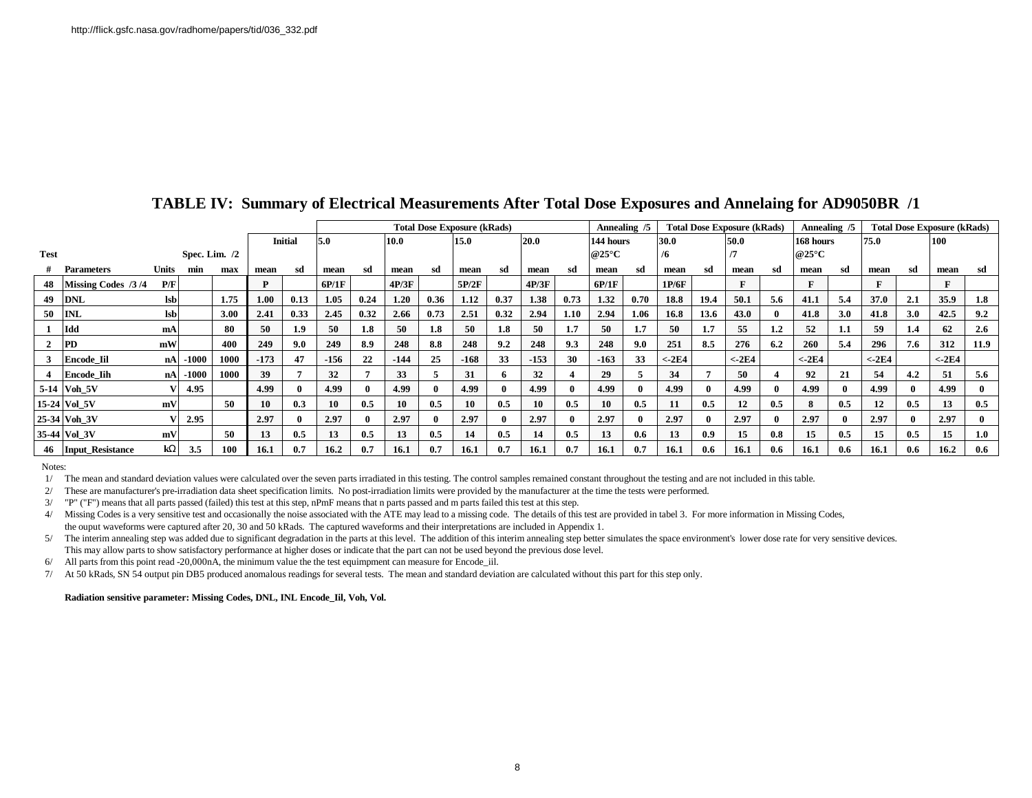|                |                         |            |                 |      |        |                | <b>Total Dose Exposure (kRads)</b> |      |        |              |        |      |        |                      | Annealing /5 | <b>Total Dose Exposure (kRads)</b> |          |      |          |               | Annealing /5 | <b>Total Dose Exposure (kRads)</b> |          |              |                  |      |
|----------------|-------------------------|------------|-----------------|------|--------|----------------|------------------------------------|------|--------|--------------|--------|------|--------|----------------------|--------------|------------------------------------|----------|------|----------|---------------|--------------|------------------------------------|----------|--------------|------------------|------|
|                |                         |            |                 |      |        | <b>Initial</b> | 5.0                                |      | 10.0   |              | 15.0   |      | 20.0   |                      | 144 hours    |                                    | 30.0     |      | 50.0     |               | 168 hours    |                                    | 75.0     |              | <b>100</b>       |      |
| <b>Test</b>    |                         |            | Spec. Lim. $/2$ |      |        |                |                                    |      |        |              |        |      |        | @25 $\rm{^{\circ}C}$ |              | /6                                 |          |      |          | $@25^\circ C$ |              |                                    |          |              |                  |      |
|                | <b>Parameters</b>       | Units      | min             | max  | mean   | sd             | mean                               | sd   | mean   | sd           | mean   | sd   | mean   | sd                   | mean         | sd                                 | mean     | sd   | mean     | sd            | mean         | sd                                 | mean     | sd           | mean             | sd   |
| 48             | Missing Codes /3/4      | P/F        |                 |      | D      |                | 6P/1F                              |      | 4P/3F  |              | 5P/2F  |      | 4P/3F  |                      | 6P/1F        |                                    | 1P/6F    |      |          |               | $\mathbf{F}$ |                                    | ю        |              |                  |      |
| 49             | <b>DNL</b>              | <b>lsb</b> |                 | 1.75 | 1.00   | 0.13           | 1.05                               | 0.24 | 1.20   | 0.36         | 1.12   | 0.37 | 1.38   | 0.73                 | 1.32         | 0.70                               | 18.8     | 19.4 | 50.1     | 5.6           | 41.1         | 5.4                                | 37.0     | 2.1          | 35.9             | 1.8  |
| 50             | <b>INL</b>              | <b>lsb</b> |                 | 3.00 | 2.41   | 0.33           | 2.45                               | 0.32 | 2.66   | 0.73         | 2.51   | 0.32 | 2.94   | 1.10                 | 2.94         | 1.06                               | 16.8     | 13.6 | 43.0     |               | 41.8         | 3.0                                | 41.8     | 3.0          | 42.5             | 9.2  |
|                | Idd                     | mA         |                 | 80   | 50     | 1.9            | 50                                 | 1.8  | 50     | 1.8          | 50     | 1.8  | 50     | 1.7                  | 50           | 1.7                                | 50       | 1.7  | 55       | $1.2\,$       | 52           | 1.1                                | 59       | 1.4          | 62               | 2.6  |
| $\overline{2}$ | <b>PD</b>               | mW         |                 | 400  | 249    | 9.0            | 249                                | 8.9  | 248    | 8.8          | 248    | 9.2  | 248    | 9.3                  | 248          | 9.0                                | 251      | 8.5  | 276      | 6.2           | 260          | 5.4                                | 296      | 7.6          | 312              | 11.9 |
| 3              | <b>Encode Iil</b>       | nA         | $-1000$         | 1000 | $-173$ | 47             | $-156$                             | 22   | $-144$ | 25           | $-168$ | 33   | $-153$ | 30                   | $-163$       | 33                                 | $< -2E4$ |      | $< -2E4$ |               | $< -2E4$     |                                    | $<$ -2E4 |              | $< -2E4$         |      |
|                | <b>Encode Iih</b>       | nA         | $-1000$         | 1000 | 39     |                | 32                                 |      | 33     | 5            | 31     |      | 32     |                      | 29           |                                    | 34       |      | 50       |               | 92           | 21                                 | 54       | 4.2          | 51               | 5.6  |
|                | 5-14 Voh 5V             |            | 4.95            |      | 4.99   |                | 4.99                               |      | 4.99   | $\theta$     | 4.99   |      | 4.99   |                      | 4.99         | $\Omega$                           | 4.99     |      | 4.99     |               | 4.99         |                                    | 4.99     | $\mathbf{0}$ | 4.99             |      |
|                | 15-24 Vol 5V            | mV         |                 | 50   | 10     | 0.3            | 10                                 | 0.5  | 10     | 0.5          | 10     | 0.5  | 10     | 0.5                  | 10           | 0.5                                | 11       | 0.5  | 12       | 0.5           | 8            | 0.5                                | 12       | 0.5          | 13               | 0.5  |
|                | 25-34 Voh 3V            |            | 2.95            |      | 2.97   |                | 2.97                               |      | 2.97   | $\mathbf{0}$ | 2.97   |      | 2.97   |                      | 2.97         | 0                                  | 2.97     |      | 2.97     |               | 2.97         |                                    | 2.97     | $\mathbf{0}$ | 2.97             |      |
|                | 35-44 Vol 3V            | mV         |                 | 50   | 13     | 0.5            | 13                                 | 0.5  | 13     | 0.5          | 14     | 0.5  | 14     | 0.5                  | 13           | 0.6                                | 13       | 0.9  | 15       | 0.8           | 15           | 0.5                                | 15       | 0.5          | 15 <sup>15</sup> | 1.0  |
| 46             | <b>Input Resistance</b> | kW         | 3.5             | 100  | 16.1   | 0.7            | 16.2                               | 0.7  | 16.1   | 0.7          | 16.1   | 0.7  | 16.1   | 0.7                  | 16.1         | 0.7                                | 16.1     | -0.6 | 16.1     | 0.6           | 16.1         | 0.6                                | 16.1     | 0.6          | 16.2             | 0.6  |

## **TABLE IV: Summary of Electrical Measurements After Total Dose Exposures and Annelaing for AD9050BR /1**

Notes:

1/ The mean and standard deviation values were calculated over the seven parts irradiated in this testing. The control samples remained constant throughout the testing and are not included in this table.

2/ These are manufacturer's pre-irradiation data sheet specification limits. No post-irradiation limits were provided by the manufacturer at the time the tests were performed.

3/ "P" ("F") means that all parts passed (failed) this test at this step, nPmF means that n parts passed and m parts failed this test at this step.

4/ Missing Codes is a very sensitive test and occasionally the noise associated with the ATE may lead to a missing code. The details of this test are provided in tabel 3. For more information in Missing Codes, the ouput waveforms were captured after 20, 30 and 50 kRads. The captured waveforms and their interpretations are included in Appendix 1.

5/ The interim annealing step was added due to significant degradation in the parts at this level. The addition of this interim annealing step better simulates the space environment's lower dose rate for very sensitive dev This may allow parts to show satisfactory performance at higher doses or indicate that the part can not be used beyond the previous dose level.

6/ All parts from this point read -20,000nA, the minimum value the the test equimpment can measure for Encode\_iil.

7/ At 50 kRads, SN 54 output pin DB5 produced anomalous readings for several tests. The mean and standard deviation are calculated without this part for this step only.

**Radiation sensitive parameter: Missing Codes, DNL, INL Encode\_Iil, Voh, Vol.**